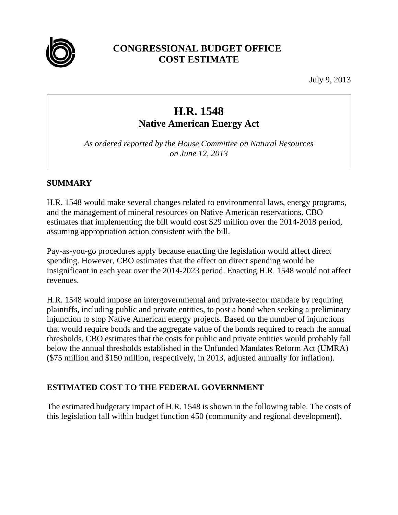

## **CONGRESSIONAL BUDGET OFFICE COST ESTIMATE**

July 9, 2013

# **H.R. 1548**

**Native American Energy Act** 

*As ordered reported by the House Committee on Natural Resources on June 12, 2013* 

#### **SUMMARY**

H.R. 1548 would make several changes related to environmental laws, energy programs, and the management of mineral resources on Native American reservations. CBO estimates that implementing the bill would cost \$29 million over the 2014-2018 period, assuming appropriation action consistent with the bill.

Pay-as-you-go procedures apply because enacting the legislation would affect direct spending. However, CBO estimates that the effect on direct spending would be insignificant in each year over the 2014-2023 period. Enacting H.R. 1548 would not affect revenues.

H.R. 1548 would impose an intergovernmental and private-sector mandate by requiring plaintiffs, including public and private entities, to post a bond when seeking a preliminary injunction to stop Native American energy projects. Based on the number of injunctions that would require bonds and the aggregate value of the bonds required to reach the annual thresholds, CBO estimates that the costs for public and private entities would probably fall below the annual thresholds established in the Unfunded Mandates Reform Act (UMRA) (\$75 million and \$150 million, respectively, in 2013, adjusted annually for inflation).

### **ESTIMATED COST TO THE FEDERAL GOVERNMENT**

The estimated budgetary impact of H.R. 1548 is shown in the following table. The costs of this legislation fall within budget function 450 (community and regional development).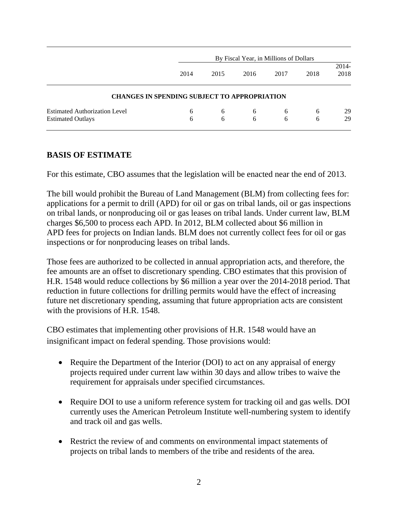|                                                     |      | By Fiscal Year, in Millions of Dollars |      |      |      |               |  |
|-----------------------------------------------------|------|----------------------------------------|------|------|------|---------------|--|
|                                                     | 2014 | 2015                                   | 2016 | 2017 | 2018 | 2014-<br>2018 |  |
| <b>CHANGES IN SPENDING SUBJECT TO APPROPRIATION</b> |      |                                        |      |      |      |               |  |
| <b>Estimated Authorization Level</b>                | 6    | 6                                      | 6    | 6    | 6    | 29            |  |
| <b>Estimated Outlays</b>                            | 6    | 6                                      | 6    | 6    | 6    | 29            |  |

#### **BASIS OF ESTIMATE**

For this estimate, CBO assumes that the legislation will be enacted near the end of 2013.

The bill would prohibit the Bureau of Land Management (BLM) from collecting fees for: applications for a permit to drill (APD) for oil or gas on tribal lands, oil or gas inspections on tribal lands, or nonproducing oil or gas leases on tribal lands. Under current law, BLM charges \$6,500 to process each APD. In 2012, BLM collected about \$6 million in APD fees for projects on Indian lands. BLM does not currently collect fees for oil or gas inspections or for nonproducing leases on tribal lands.

Those fees are authorized to be collected in annual appropriation acts, and therefore, the fee amounts are an offset to discretionary spending. CBO estimates that this provision of H.R. 1548 would reduce collections by \$6 million a year over the 2014-2018 period. That reduction in future collections for drilling permits would have the effect of increasing future net discretionary spending, assuming that future appropriation acts are consistent with the provisions of H.R. 1548.

CBO estimates that implementing other provisions of H.R. 1548 would have an insignificant impact on federal spending. Those provisions would:

- Require the Department of the Interior (DOI) to act on any appraisal of energy projects required under current law within 30 days and allow tribes to waive the requirement for appraisals under specified circumstances.
- Require DOI to use a uniform reference system for tracking oil and gas wells. DOI currently uses the American Petroleum Institute well-numbering system to identify and track oil and gas wells.
- Restrict the review of and comments on environmental impact statements of projects on tribal lands to members of the tribe and residents of the area.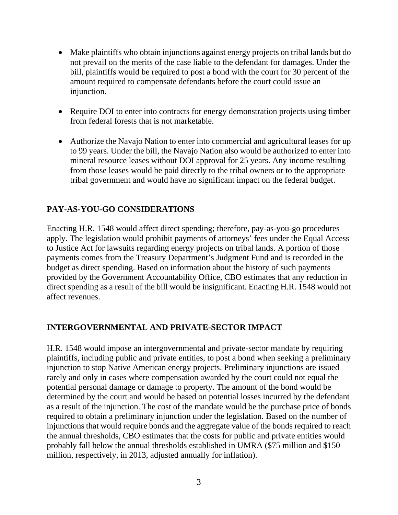- Make plaintiffs who obtain injunctions against energy projects on tribal lands but do not prevail on the merits of the case liable to the defendant for damages. Under the bill, plaintiffs would be required to post a bond with the court for 30 percent of the amount required to compensate defendants before the court could issue an injunction.
- Require DOI to enter into contracts for energy demonstration projects using timber from federal forests that is not marketable.
- Authorize the Navajo Nation to enter into commercial and agricultural leases for up to 99 years. Under the bill, the Navajo Nation also would be authorized to enter into mineral resource leases without DOI approval for 25 years. Any income resulting from those leases would be paid directly to the tribal owners or to the appropriate tribal government and would have no significant impact on the federal budget.

#### **PAY-AS-YOU-GO CONSIDERATIONS**

Enacting H.R. 1548 would affect direct spending; therefore, pay-as-you-go procedures apply. The legislation would prohibit payments of attorneys' fees under the Equal Access to Justice Act for lawsuits regarding energy projects on tribal lands. A portion of those payments comes from the Treasury Department's Judgment Fund and is recorded in the budget as direct spending. Based on information about the history of such payments provided by the Government Accountability Office, CBO estimates that any reduction in direct spending as a result of the bill would be insignificant. Enacting H.R. 1548 would not affect revenues.

#### **INTERGOVERNMENTAL AND PRIVATE-SECTOR IMPACT**

H.R. 1548 would impose an intergovernmental and private-sector mandate by requiring plaintiffs, including public and private entities, to post a bond when seeking a preliminary injunction to stop Native American energy projects. Preliminary injunctions are issued rarely and only in cases where compensation awarded by the court could not equal the potential personal damage or damage to property. The amount of the bond would be determined by the court and would be based on potential losses incurred by the defendant as a result of the injunction. The cost of the mandate would be the purchase price of bonds required to obtain a preliminary injunction under the legislation. Based on the number of injunctions that would require bonds and the aggregate value of the bonds required to reach the annual thresholds, CBO estimates that the costs for public and private entities would probably fall below the annual thresholds established in UMRA (\$75 million and \$150 million, respectively, in 2013, adjusted annually for inflation).